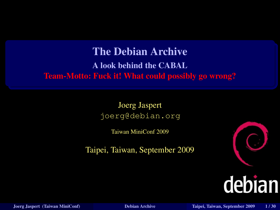#### The Debian Archive A look behind the CABAL Team-Motto: Fuck it! What could possibly go wrong?

Joerg Jaspert joerg@debian.org

Taiwan MiniConf 2009

Taipei, Taiwan, September 2009



<span id="page-0-0"></span>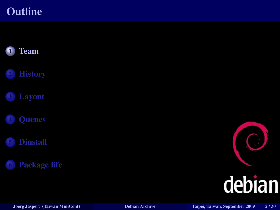#### **Outline**



<span id="page-1-0"></span>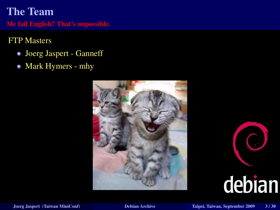#### The Team

Me fail English? That's unpossible.

#### FTP Masters

- Joerg Jaspert Ganneff
- Mark Hymers mhy



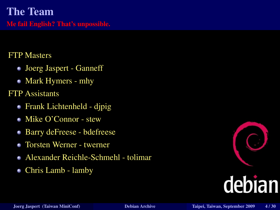#### The Team

Me fail English? That's unpossible.

#### FTP Masters

- Joerg Jaspert Ganneff
- Mark Hymers mhy
- FTP Assistants
	- Frank Lichtenheld djpig
	- Mike O'Connor stew
	- Barry deFreese bdefreese ۰
	- Torsten Werner twerner  $\blacksquare$
	- Alexander Reichle-Schmehl tolimar
	- Chris Lamb lamby

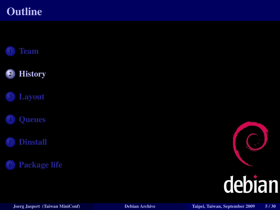#### **Outline**



<span id="page-4-0"></span>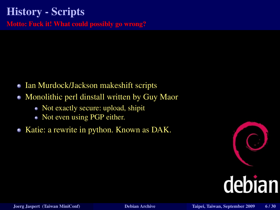### History - Scripts

Motto: Fuck it! What could possibly go wrong?

- Ian Murdock/Jackson makeshift scripts
- Monolithic perl dinstall written by Guy Maor  $\blacksquare$ 
	- Not exactly secure: upload, shipit
	- Not even using PGP either.
- Katie: a rewrite in python. Known as DAK.

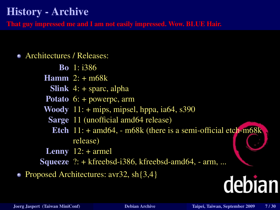#### History - Archive

That guy impressed me and I am not easily impressed. Wow. BLUE Hair.

#### Architectures / Releases:

Bo 1: i386 **Hamm**  $2: + m68k$ **Slink**  $4: +$  sparc, alpha Potato 6: + powerpc, arm Woody  $11: +$  mips, mipsel, hppa, ia64, s390 Sarge 11 (unofficial amd64 release) Etch  $11: + \text{amd}64$ ,  $- \text{m}68k$  (there is a semi-official etch-m68k) release) **Lenny**  $12:$  + armel Squeeze ?: + kfreebsd-i386, kfreebsd-amd64, - arm, ...

• Proposed Architectures: avr32, sh $\{3,4\}$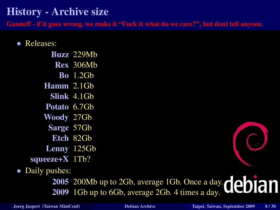#### History - Archive size

Ganneff - if it goes wrong, we make it "Fuck it what do we care?", but dont tell anyone.

#### Releases:

Buzz 229Mb Rex 306Mb Bo 1.2Gb Hamm 2.1Gb Slink 4.1Gb Potato 6.7Gb Woody 27Gb Sarge 57Gb Etch 82Gb Lenny 125Gb squeeze+X 1Tb?

#### • Daily pushes:

2005 200Mb up to 2Gb, average 1Gb. Once a day.  $\mathbf{de}\mathbf{b}$ 2009 1Gb up to 6Gb, average 2Gb. 4 times a day.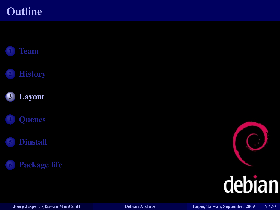#### **Outline**



<span id="page-8-0"></span>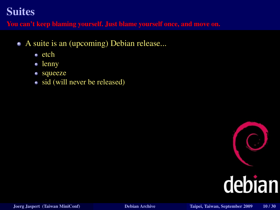You can't keep blaming yourself. Just blame yourself once, and move on.

- A suite is an (upcoming) Debian release...
	- $e$  etch
	- lenny
	- squeeze
	- sid (will never be released).

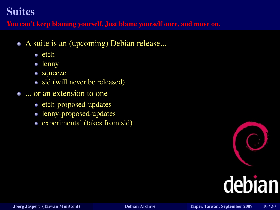You can't keep blaming yourself. Just blame yourself once, and move on.

- A suite is an (upcoming) Debian release...
	- $e$  etch
	- lenny
	- squeeze
	- sid (will never be released)
- ... or an extension to one
	- etch-proposed-updates
	- lenny-proposed-updates
	- experimental (takes from sid)

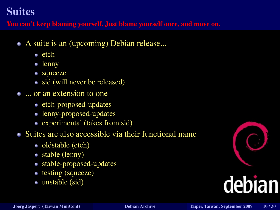You can't keep blaming yourself. Just blame yourself once, and move on.

- A suite is an (upcoming) Debian release...
	- $e$ tch
	- lenny
	- squeeze
	- sid (will never be released)
- ... or an extension to one
	- etch-proposed-updates
	- lenny-proposed-updates
	- experimental (takes from sid)
- Suites are also accessible via their functional name
	- oldstable (etch)
	- stable (lenny)
	- stable-proposed-updates
	- testing (squeeze)
	- unstable (sid)

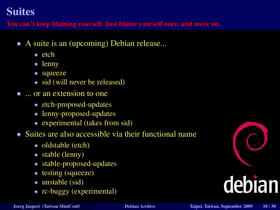You can't keep blaming yourself. Just blame yourself once, and move on.

- A suite is an (upcoming) Debian release...
	- $e$ tch
	- lenny
	- squeeze
	- sid (will never be released)
- ... or an extension to one
	- etch-proposed-updates
	- lenny-proposed-updates
	- experimental (takes from sid)
- Suites are also accessible via their functional name
	- oldstable (etch)
	- stable (lenny)
	- stable-proposed-updates
	- testing (squeeze)
	- unstable (sid)
	- rc-buggy (experimental)

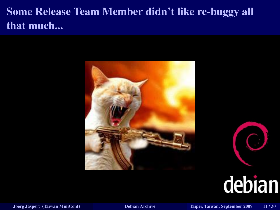#### Some Release Team Member didn't like rc-buggy all that much...





 $\bigcap$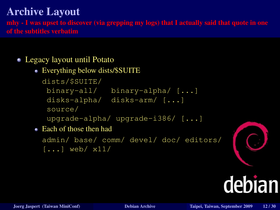mhy - I was upset to discover (via grepping my logs) that I actually said that quote in one of the subtitles verbatim

#### Legacy layout until Potato

Everything below dists/\$SUITE

```
dists/$SUITE/
```

```
binary-all/ binary-alpha/ [...]
```

```
disks-alpha/ disks-arm/ [...]
```

```
source/
```

```
upgrade-alpha/ upgrade-i386/ [...]
```
• Each of those then had

```
admin/ base/ comm/ devel/ doc/ editors/
\left[\ldots\right] web/ x11/
```
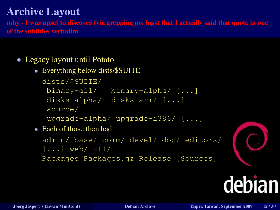mhy - I was upset to discover (via grepping my logs) that I actually said that quote in one of the subtitles verbatim

#### Legacy layout until Potato

Everything below dists/\$SUITE

```
dists/$SUITE/
```

```
binary-all/ binary-alpha/ [...]
```

```
disks-alpha/ disks-arm/ [...]
```

```
source/
```

```
upgrade-alpha/ upgrade-i386/ [...]
```
• Each of those then had

```
admin/ base/ comm/ devel/ doc/ editors/
[...] web/ x11/Packages Packages.gz Release [Sources]
```


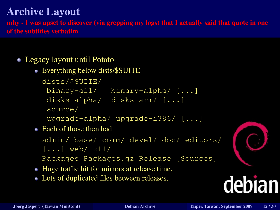mhy - I was upset to discover (via grepping my logs) that I actually said that quote in one of the subtitles verbatim

#### Legacy layout until Potato

Everything below dists/\$SUITE

```
dists/$SUITE/
```

```
binary-all/ binary-alpha/ [...]
```

```
disks-alpha/ disks-arm/ [...]
```

```
source/
```

```
upgrade-alpha/ upgrade-i386/ [...]
```
Each of those then had

```
admin/ base/ comm/ devel/ doc/ editors/
```

```
[...] web/ x11/
```

```
Packages Packages.gz Release [Sources]
```
- Huge traffic hit for mirrors at release time.
- Lots of duplicated files between releases.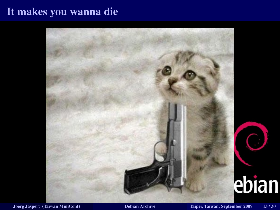#### It makes you wanna die

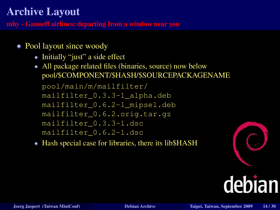mhy - Ganneff airlines: departing from a window near you

- Pool layout since woody
	- Initially "just" a side effect
	- All package related files (binaries, source) now below pool/\$COMPONENT/\$HASH/\$SOURCEPACKAGENAME

pool/main/m/mailfilter/ mailfilter\_0.3.3-1\_alpha.deb mailfilter\_0.6.2-1\_mipsel.deb mailfilter\_0.6.2.orig.tar.gz mailfilter\_0.3.3-1.dsc mailfilter\_0.6.2-1.dsc

• Hash special case for libraries, there its lib\$HASH

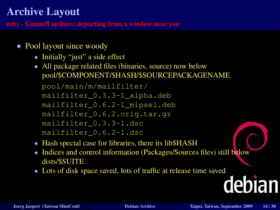mhy - Ganneff airlines: departing from a window near you

- Pool layout since woody
	- Initially "just" a side effect
	- All package related files (binaries, source) now below pool/\$COMPONENT/\$HASH/\$SOURCEPACKAGENAME

pool/main/m/mailfilter/ mailfilter\_0.3.3-1\_alpha.deb mailfilter\_0.6.2-1\_mipsel.deb mailfilter\_0.6.2.orig.tar.gz mailfilter\_0.3.3-1.dsc mailfilter\_0.6.2-1.dsc

- Hash special case for libraries, there its lib\$HASH
- Indices and control information (Packages/Sources files) still below dists/\$SUITE
- Lots of disk space saved, lots of traffic at release time saved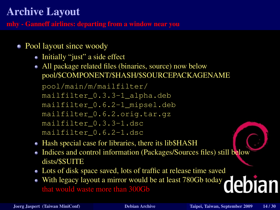mhy - Ganneff airlines: departing from a window near you

- Pool layout since woody
	- Initially "just" a side effect
	- All package related files (binaries, source) now below pool/\$COMPONENT/\$HASH/\$SOURCEPACKAGENAME

pool/main/m/mailfilter/ mailfilter\_0.3.3-1\_alpha.deb mailfilter\_0.6.2-1\_mipsel.deb mailfilter\_0.6.2.orig.tar.gz mailfilter\_0.3.3-1.dsc mailfilter\_0.6.2-1.dsc

- Hash special case for libraries, there its lib\$HASH
- Indices and control information (Packages/Sources files) still below dists/\$SUITE
- Lots of disk space saved, lots of traffic at release time saved
- With legacy layout a mirror would be at least 780Gb today that would waste more than 300Gb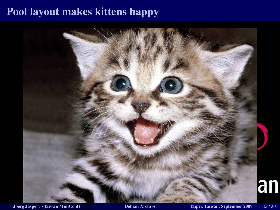#### Pool layout makes kittens happy

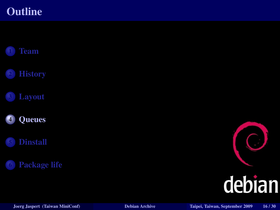#### **Outline**



<span id="page-22-0"></span>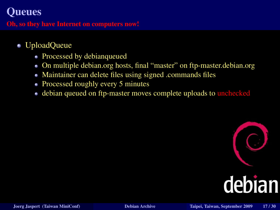#### **Oueues**

Oh, so they have Internet on computers now!

- UploadQueue
	- Processed by debianqueued
	- On multiple debian.org hosts, final "master" on ftp-master.debian.org O.
	- Maintainer can delete files using signed .commands files ٠
	- Processed roughly every 5 minutes
	- debian queued on ftp-master moves complete uploads to unchecked ٠

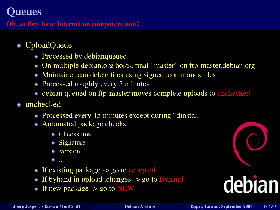#### Queues

Oh, so they have Internet on computers now!

- UploadQueue
	- Processed by debianqueued
	- On multiple debian.org hosts, final "master" on ftp-master.debian.org
	- Maintainer can delete files using signed .commands files
	- Processed roughly every 5 minutes
	- debian queued on ftp-master moves complete uploads to unchecked
- unchecked
	- Processed every 15 minutes except during "dinstall"
	- Automated package checks
		- Checksums
		- $\bullet$  Signature
		- Version
		- ...
	- If existing package -> go to accepted
	- If byhand in upload .changes  $\rightarrow$  go to Byhand
	- If new package -> go to NEW

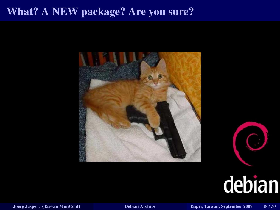#### What? A NEW package? Are you sure?





## debian

Joerg Jaspert (Taiwan MiniConf) [Debian Archive](#page-0-0) Taipei, Taiwan, September 2009 18 / 30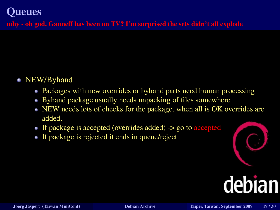mhy - oh god. Ganneff has been on TV? I'm surprised the sets didn't all explode

#### • NEW/Byhand

- Packages with new overrides or byhand parts need human processing
- Byhand package usually needs unpacking of files somewhere
- NEW needs lots of checks for the package, when all is OK overrides are added.
- If package is accepted (overrides added) -> go to accepted
- If package is rejected it ends in queue/reject

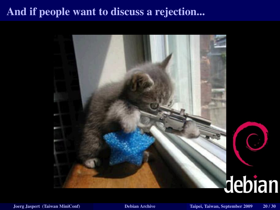#### And if people want to discuss a rejection...



# debian

O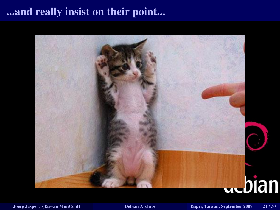#### ...and really insist on their point...

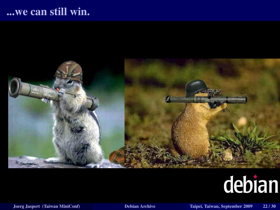#### ...we can still win.

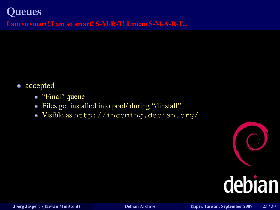#### **Oueues**

I am so smart! I am so smart! S-M-R-T! I mean S-M-A-R-T...

- accepted
	- "Final" queue
	- Files get installed into pool/ during "dinstall"  $\bullet$
	- Visible as <http://incoming.debian.org/>  $\bullet$

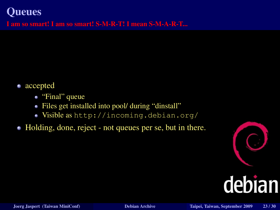#### **Oueues**

I am so smart! I am so smart! S-M-R-T! I mean S-M-A-R-T...

- accepted
	- "Final" queue
	- Files get installed into pool/ during "dinstall"
	- Visible as <http://incoming.debian.org/>
- Holding, done, reject not queues per se, but in there.

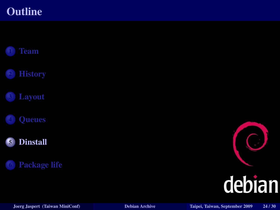#### **Outline**



<span id="page-32-0"></span>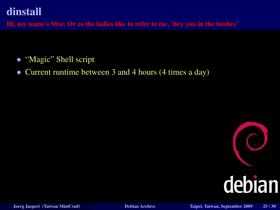Hi, my name's Moe. Or as the ladies like to refer to me, 'hey you in the bushes'

- "Magic" Shell script
- Current runtime between 3 and 4 hours (4 times a day) ٠

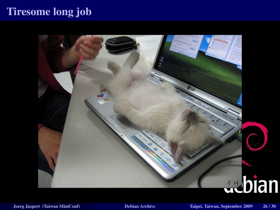#### Tiresome long job

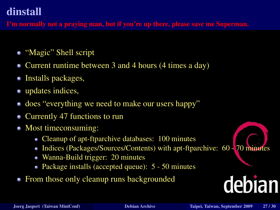#### dinstall

I'm normally not a praying man, but if you're up there, please save me Superman.

- "Magic" Shell script
- Current runtime between 3 and 4 hours (4 times a day)
- Installs packages,  $\bullet$
- updates indices,
- does "everything we need to make our users happy"
- Currently 47 functions to run ٠
- Most timeconsuming:  $\blacksquare$ 
	- Cleanup of apt-ftparchive databases: 100 minutes
	- Indices (Packages/Sources/Contents) with apt-ftparchive: 60 70 minutes a.
	- Wanna-Build trigger: 20 minutes  $\bullet$
	- Package installs (accepted queue): 5 50 minutes  $\bullet$
- From those only cleanup runs backgrounded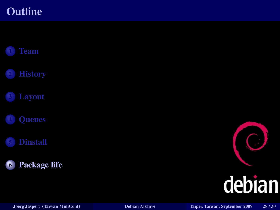#### **Outline**



<span id="page-36-0"></span>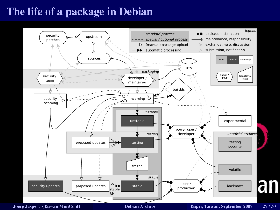#### The life of a package in Debian